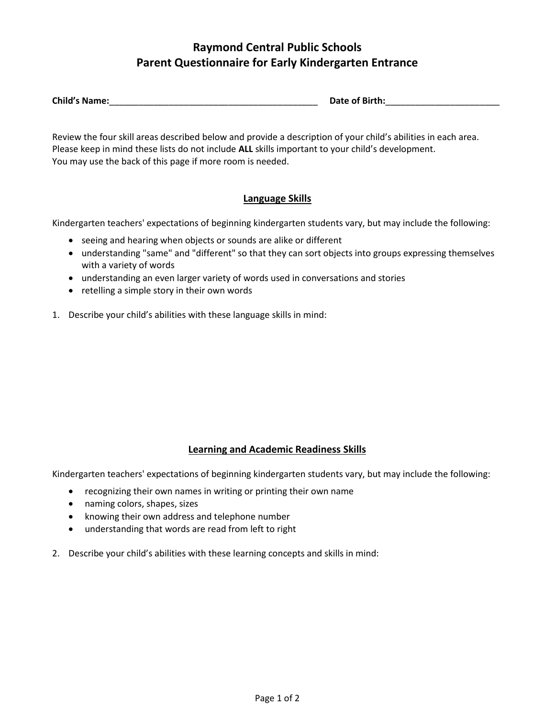# **Raymond Central Public Schools Parent Questionnaire for Early Kindergarten Entrance**

| <b>Child's Name:</b> | Date of Birth: |
|----------------------|----------------|
|                      |                |

Review the four skill areas described below and provide a description of your child's abilities in each area. Please keep in mind these lists do not include **ALL** skills important to your child's development. You may use the back of this page if more room is needed.

### **Language Skills**

Kindergarten teachers' expectations of beginning kindergarten students vary, but may include the following:

- seeing and hearing when objects or sounds are alike or different
- understanding "same" and "different" so that they can sort objects into groups expressing themselves with a variety of words
- understanding an even larger variety of words used in conversations and stories
- retelling a simple story in their own words
- 1. Describe your child's abilities with these language skills in mind:

### **Learning and Academic Readiness Skills**

Kindergarten teachers' expectations of beginning kindergarten students vary, but may include the following:

- recognizing their own names in writing or printing their own name
- naming colors, shapes, sizes
- knowing their own address and telephone number
- understanding that words are read from left to right
- 2. Describe your child's abilities with these learning concepts and skills in mind: